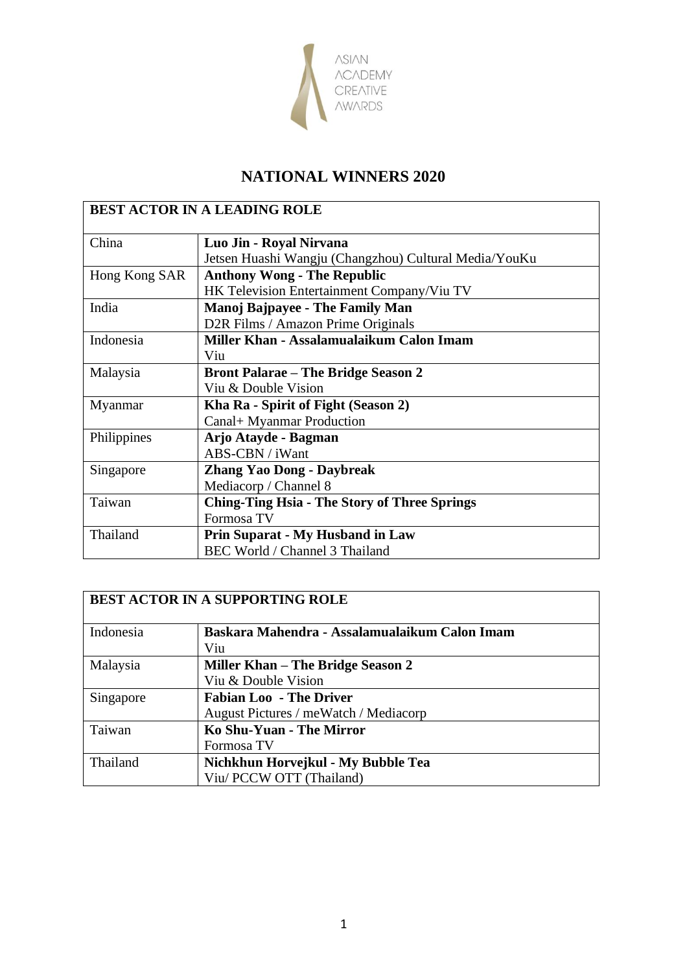

| <b>BEST ACTOR IN A LEADING ROLE</b> |                                                       |
|-------------------------------------|-------------------------------------------------------|
| China                               | Luo Jin - Royal Nirvana                               |
|                                     | Jetsen Huashi Wangju (Changzhou) Cultural Media/YouKu |
| Hong Kong SAR                       | <b>Anthony Wong - The Republic</b>                    |
|                                     | HK Television Entertainment Company/Viu TV            |
| India                               | <b>Manoj Bajpayee - The Family Man</b>                |
|                                     | D2R Films / Amazon Prime Originals                    |
| Indonesia                           | Miller Khan - Assalamualaikum Calon Imam              |
|                                     | Viu                                                   |
| Malaysia                            | <b>Bront Palarae – The Bridge Season 2</b>            |
|                                     | Viu & Double Vision                                   |
| Myanmar                             | Kha Ra - Spirit of Fight (Season 2)                   |
|                                     | Canal+ Myanmar Production                             |
| Philippines                         | Arjo Atayde - Bagman                                  |
|                                     | ABS-CBN / iWant                                       |
| Singapore                           | <b>Zhang Yao Dong - Daybreak</b>                      |
|                                     | Mediacorp / Channel 8                                 |
| Taiwan                              | <b>Ching-Ting Hsia - The Story of Three Springs</b>   |
|                                     | Formosa TV                                            |
| Thailand                            | <b>Prin Suparat - My Husband in Law</b>               |
|                                     | BEC World / Channel 3 Thailand                        |

| <b>BEST ACTOR IN A SUPPORTING ROLE</b> |                                               |
|----------------------------------------|-----------------------------------------------|
| Indonesia                              | Baskara Mahendra - Assalamualaikum Calon Imam |
|                                        | Viu                                           |
| Malaysia                               | Miller Khan – The Bridge Season 2             |
|                                        | Viu & Double Vision                           |
| Singapore                              | <b>Fabian Loo - The Driver</b>                |
|                                        | August Pictures / meWatch / Mediacorp         |
| Taiwan                                 | Ko Shu-Yuan - The Mirror                      |
|                                        | Formosa TV                                    |
| Thailand                               | Nichkhun Horvejkul - My Bubble Tea            |
|                                        | Viu/ PCCW OTT (Thailand)                      |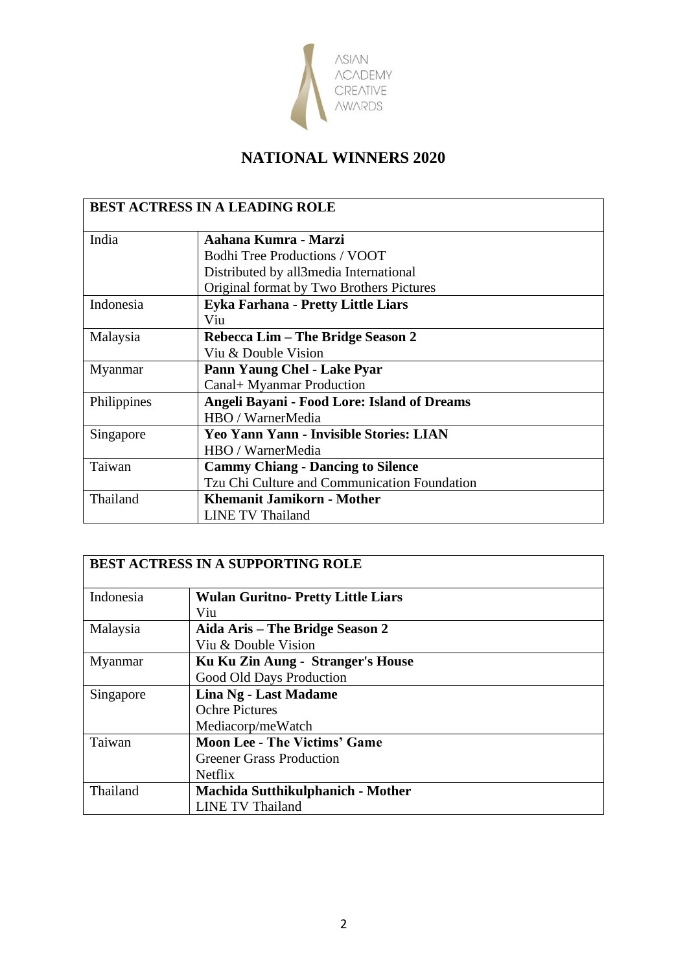

| <b>BEST ACTRESS IN A LEADING ROLE</b> |                                                    |
|---------------------------------------|----------------------------------------------------|
| India                                 | Aahana Kumra - Marzi                               |
|                                       | <b>Bodhi Tree Productions / VOOT</b>               |
|                                       | Distributed by all 3 media International           |
|                                       | Original format by Two Brothers Pictures           |
| Indonesia                             | Eyka Farhana - Pretty Little Liars                 |
|                                       | Viu                                                |
| Malaysia                              | Rebecca Lim – The Bridge Season 2                  |
|                                       | Viu & Double Vision                                |
| Myanmar                               | Pann Yaung Chel - Lake Pyar                        |
|                                       | Canal+ Myanmar Production                          |
| Philippines                           | <b>Angeli Bayani - Food Lore: Island of Dreams</b> |
|                                       | HBO / WarnerMedia                                  |
| Singapore                             | <b>Yeo Yann Yann - Invisible Stories: LIAN</b>     |
|                                       | HBO / WarnerMedia                                  |
| Taiwan                                | <b>Cammy Chiang - Dancing to Silence</b>           |
|                                       | Tzu Chi Culture and Communication Foundation       |
| Thailand                              | <b>Khemanit Jamikorn - Mother</b>                  |
|                                       | LINE TV Thailand                                   |

| <b>BEST ACTRESS IN A SUPPORTING ROLE</b> |                                          |
|------------------------------------------|------------------------------------------|
| Indonesia                                | <b>Wulan Guritno-Pretty Little Liars</b> |
|                                          | Viu                                      |
| Malaysia                                 | Aida Aris – The Bridge Season 2          |
|                                          | Viu & Double Vision                      |
| Myanmar                                  | Ku Ku Zin Aung - Stranger's House        |
|                                          | Good Old Days Production                 |
| Singapore                                | Lina Ng - Last Madame                    |
|                                          | <b>Ochre Pictures</b>                    |
|                                          | Mediacorp/meWatch                        |
| Taiwan                                   | <b>Moon Lee - The Victims' Game</b>      |
|                                          | <b>Greener Grass Production</b>          |
|                                          | <b>Netflix</b>                           |
| Thailand                                 | <b>Machida Sutthikulphanich - Mother</b> |
|                                          | <b>LINE TV Thailand</b>                  |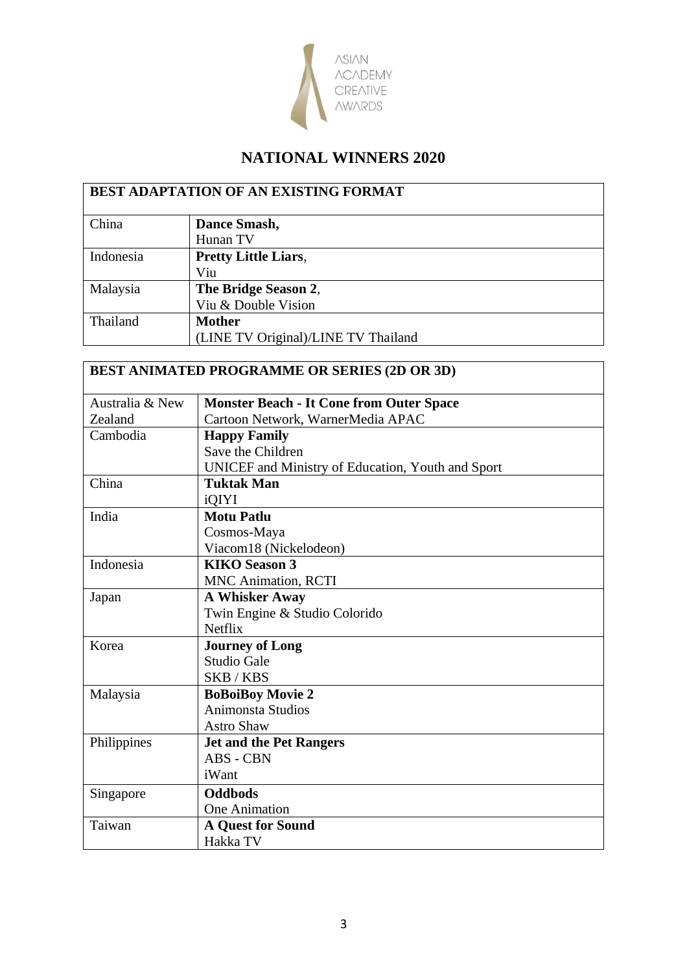

| <b>BEST ADAPTATION OF AN EXISTING FORMAT</b> |                                     |
|----------------------------------------------|-------------------------------------|
| China                                        | Dance Smash,                        |
|                                              | Hunan TV                            |
| Indonesia                                    | <b>Pretty Little Liars,</b>         |
|                                              | Viu                                 |
| Malaysia                                     | The Bridge Season 2,                |
|                                              | Viu & Double Vision                 |
| Thailand                                     | <b>Mother</b>                       |
|                                              | (LINE TV Original)/LINE TV Thailand |

| <b>BEST ANIMATED PROGRAMME OR SERIES (2D OR 3D)</b> |                                                   |  |
|-----------------------------------------------------|---------------------------------------------------|--|
| Australia & New                                     | <b>Monster Beach - It Cone from Outer Space</b>   |  |
| Zealand                                             | Cartoon Network, WarnerMedia APAC                 |  |
| Cambodia                                            | <b>Happy Family</b>                               |  |
|                                                     | Save the Children                                 |  |
|                                                     | UNICEF and Ministry of Education, Youth and Sport |  |
| China                                               | <b>Tuktak Man</b>                                 |  |
|                                                     | iQIYI                                             |  |
| India                                               | <b>Motu Patlu</b>                                 |  |
|                                                     | Cosmos-Maya                                       |  |
|                                                     | Viacom18 (Nickelodeon)                            |  |
| Indonesia                                           | <b>KIKO Season 3</b>                              |  |
|                                                     | <b>MNC Animation, RCTI</b>                        |  |
| Japan                                               | <b>A Whisker Away</b>                             |  |
|                                                     | Twin Engine & Studio Colorido                     |  |
|                                                     | <b>Netflix</b>                                    |  |
| Korea                                               | <b>Journey of Long</b>                            |  |
|                                                     | <b>Studio Gale</b>                                |  |
|                                                     | SKB/KBS                                           |  |
| Malaysia                                            | <b>BoBoiBoy Movie 2</b>                           |  |
|                                                     | <b>Animonsta Studios</b>                          |  |
|                                                     | <b>Astro Shaw</b>                                 |  |
| Philippines                                         | <b>Jet and the Pet Rangers</b>                    |  |
|                                                     | ABS - CBN                                         |  |
|                                                     | iWant                                             |  |
| Singapore                                           | <b>Oddbods</b>                                    |  |
|                                                     | <b>One Animation</b>                              |  |
| Taiwan                                              | <b>A Quest for Sound</b>                          |  |
|                                                     | Hakka TV                                          |  |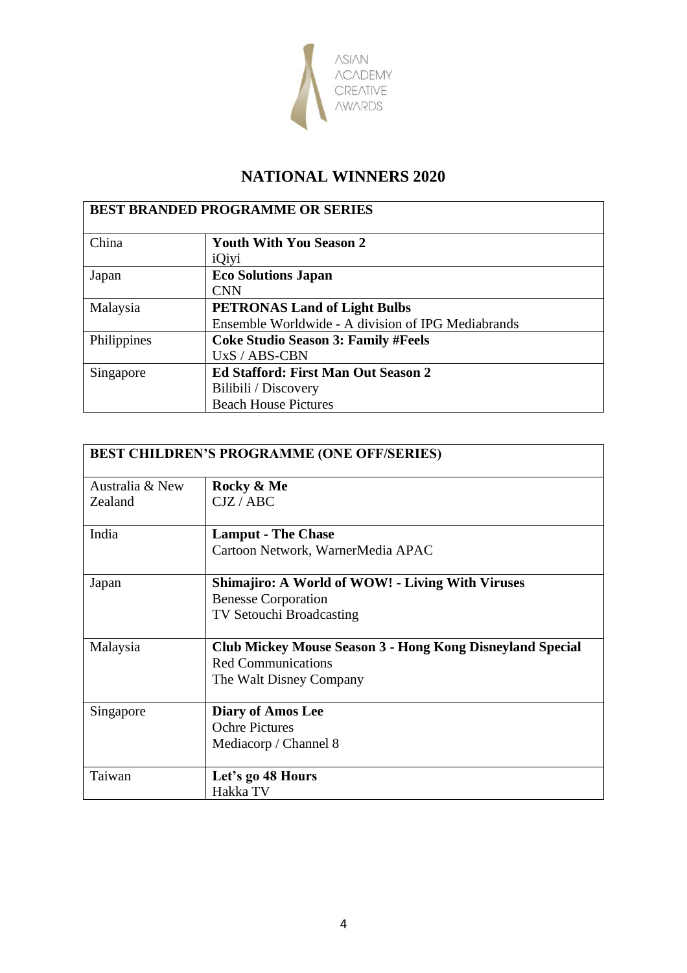

| <b>BEST BRANDED PROGRAMME OR SERIES</b> |                                                                                                   |  |
|-----------------------------------------|---------------------------------------------------------------------------------------------------|--|
| China                                   | <b>Youth With You Season 2</b>                                                                    |  |
| Japan                                   | iQiyi<br><b>Eco Solutions Japan</b><br><b>CNN</b>                                                 |  |
| Malaysia                                | <b>PETRONAS Land of Light Bulbs</b><br>Ensemble Worldwide - A division of IPG Mediabrands         |  |
| Philippines                             | <b>Coke Studio Season 3: Family #Feels</b><br>$UXS / ABS-CBN$                                     |  |
| Singapore                               | <b>Ed Stafford: First Man Out Season 2</b><br>Bilibili / Discovery<br><b>Beach House Pictures</b> |  |

| <b>BEST CHILDREN'S PROGRAMME (ONE OFF/SERIES)</b> |                                                           |
|---------------------------------------------------|-----------------------------------------------------------|
| Australia & New                                   | Rocky & Me                                                |
| Zealand                                           | CJZ/ABC                                                   |
| India                                             | <b>Lamput - The Chase</b>                                 |
|                                                   | Cartoon Network, WarnerMedia APAC                         |
| Japan                                             | <b>Shimajiro: A World of WOW! - Living With Viruses</b>   |
|                                                   | <b>Benesse Corporation</b>                                |
|                                                   | <b>TV Setouchi Broadcasting</b>                           |
| Malaysia                                          | Club Mickey Mouse Season 3 - Hong Kong Disneyland Special |
|                                                   | <b>Red Communications</b>                                 |
|                                                   | The Walt Disney Company                                   |
| Singapore                                         | <b>Diary of Amos Lee</b>                                  |
|                                                   | <b>Ochre Pictures</b>                                     |
|                                                   | Mediacorp / Channel 8                                     |
| Taiwan                                            | Let's go 48 Hours                                         |
|                                                   | Hakka TV                                                  |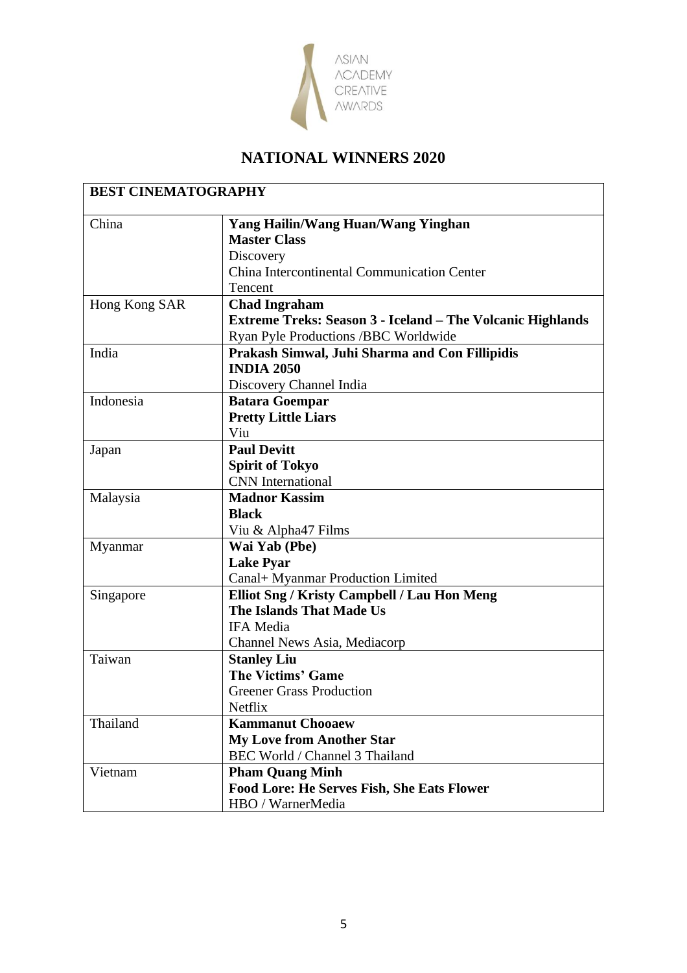

| China         | <b>Yang Hailin/Wang Huan/Wang Yinghan</b><br><b>Master Class</b> |
|---------------|------------------------------------------------------------------|
|               | Discovery                                                        |
|               | China Intercontinental Communication Center                      |
|               | Tencent                                                          |
| Hong Kong SAR | <b>Chad Ingraham</b>                                             |
|               | Extreme Treks: Season 3 - Iceland - The Volcanic Highlands       |
|               | Ryan Pyle Productions /BBC Worldwide                             |
| India         | Prakash Simwal, Juhi Sharma and Con Fillipidis                   |
|               | <b>INDIA 2050</b>                                                |
|               | Discovery Channel India                                          |
| Indonesia     | <b>Batara Goempar</b>                                            |
|               | <b>Pretty Little Liars</b>                                       |
|               | Viu                                                              |
| Japan         | <b>Paul Devitt</b>                                               |
|               | <b>Spirit of Tokyo</b>                                           |
|               | <b>CNN</b> International                                         |
| Malaysia      | <b>Madnor Kassim</b>                                             |
|               | <b>Black</b>                                                     |
|               | Viu & Alpha47 Films                                              |
| Myanmar       | Wai Yab (Pbe)                                                    |
|               | <b>Lake Pyar</b>                                                 |
|               | Canal+ Myanmar Production Limited                                |
| Singapore     | Elliot Sng / Kristy Campbell / Lau Hon Meng                      |
|               | <b>The Islands That Made Us</b>                                  |
|               | <b>IFA</b> Media                                                 |
|               | Channel News Asia, Mediacorp                                     |
| Taiwan        | <b>Stanley Liu</b>                                               |
|               | <b>The Victims' Game</b>                                         |
|               | <b>Greener Grass Production</b>                                  |
|               | Netflix                                                          |
| Thailand      | <b>Kammanut Chooaew</b>                                          |
|               | <b>My Love from Another Star</b>                                 |
|               | BEC World / Channel 3 Thailand                                   |
| Vietnam       | <b>Pham Quang Minh</b>                                           |
|               | <b>Food Lore: He Serves Fish, She Eats Flower</b>                |
|               | HBO / WarnerMedia                                                |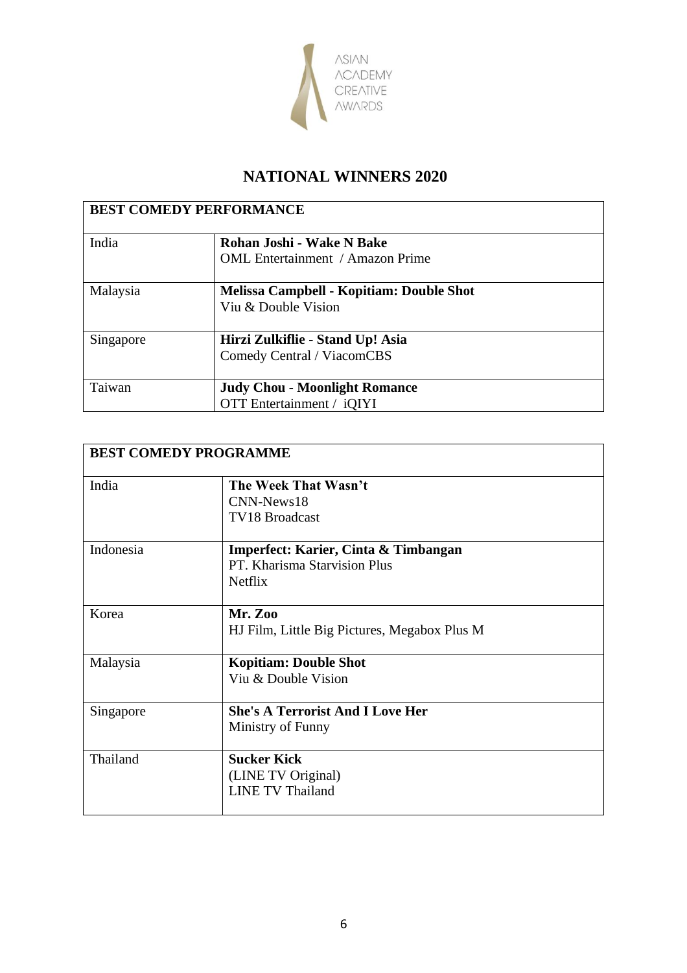

| <b>BEST COMEDY PERFORMANCE</b> |                                          |
|--------------------------------|------------------------------------------|
| India                          | Rohan Joshi - Wake N Bake                |
|                                | <b>OML</b> Entertainment / Amazon Prime  |
| Malaysia                       | Melissa Campbell - Kopitiam: Double Shot |
|                                | Viu & Double Vision                      |
| Singapore                      | Hirzi Zulkiflie - Stand Up! Asia         |
|                                | Comedy Central / ViacomCBS               |
| Taiwan                         | <b>Judy Chou - Moonlight Romance</b>     |
|                                | <b>OTT</b> Entertainment / iQIYI         |

| <b>BEST COMEDY PROGRAMME</b> |                                              |  |
|------------------------------|----------------------------------------------|--|
| India                        | The Week That Wasn't                         |  |
|                              | CNN-News18                                   |  |
|                              | <b>TV18</b> Broadcast                        |  |
| Indonesia                    | Imperfect: Karier, Cinta & Timbangan         |  |
|                              | PT. Kharisma Starvision Plus                 |  |
|                              | <b>Netflix</b>                               |  |
| Korea                        | <b>Mr. Zoo</b>                               |  |
|                              | HJ Film, Little Big Pictures, Megabox Plus M |  |
| Malaysia                     | <b>Kopitiam: Double Shot</b>                 |  |
|                              | Viu & Double Vision                          |  |
|                              |                                              |  |
| Singapore                    | <b>She's A Terrorist And I Love Her</b>      |  |
|                              | Ministry of Funny                            |  |
| Thailand                     | <b>Sucker Kick</b>                           |  |
|                              | (LINE TV Original)                           |  |
|                              | <b>LINE TV Thailand</b>                      |  |
|                              |                                              |  |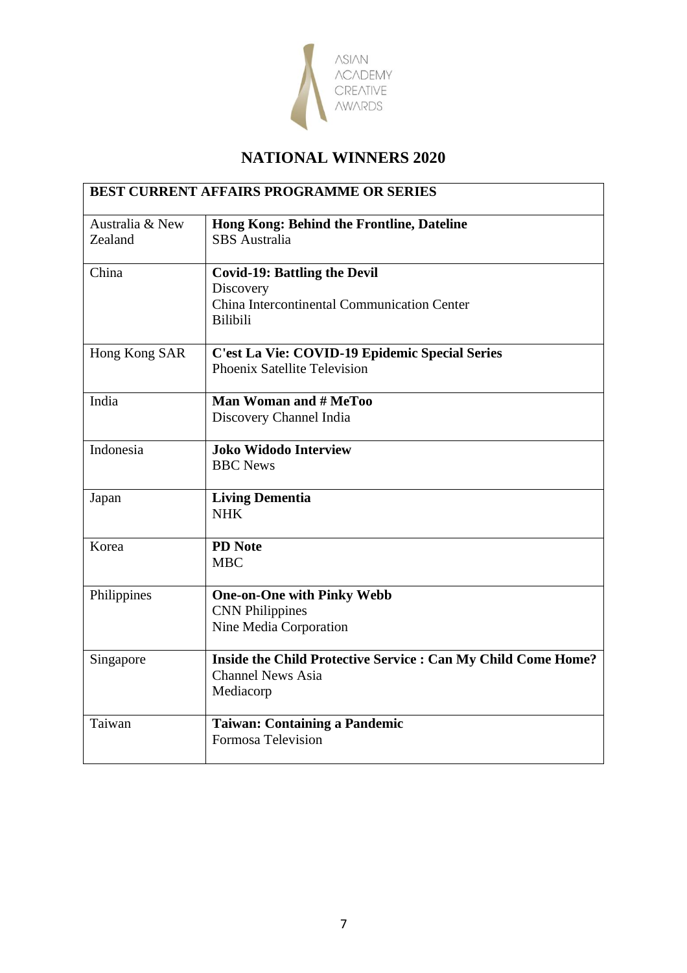

| <b>BEST CURRENT AFFAIRS PROGRAMME OR SERIES</b> |                                                                                                                    |
|-------------------------------------------------|--------------------------------------------------------------------------------------------------------------------|
| Australia & New<br>Zealand                      | Hong Kong: Behind the Frontline, Dateline<br><b>SBS</b> Australia                                                  |
| China                                           | <b>Covid-19: Battling the Devil</b><br>Discovery<br>China Intercontinental Communication Center<br><b>Bilibili</b> |
| Hong Kong SAR                                   | C'est La Vie: COVID-19 Epidemic Special Series<br>Phoenix Satellite Television                                     |
| India                                           | <b>Man Woman and # MeToo</b><br>Discovery Channel India                                                            |
| Indonesia                                       | <b>Joko Widodo Interview</b><br><b>BBC</b> News                                                                    |
| Japan                                           | <b>Living Dementia</b><br><b>NHK</b>                                                                               |
| Korea                                           | <b>PD</b> Note<br><b>MBC</b>                                                                                       |
| Philippines                                     | <b>One-on-One with Pinky Webb</b><br><b>CNN</b> Philippines<br>Nine Media Corporation                              |
| Singapore                                       | Inside the Child Protective Service : Can My Child Come Home?<br><b>Channel News Asia</b><br>Mediacorp             |
| Taiwan                                          | <b>Taiwan: Containing a Pandemic</b><br><b>Formosa Television</b>                                                  |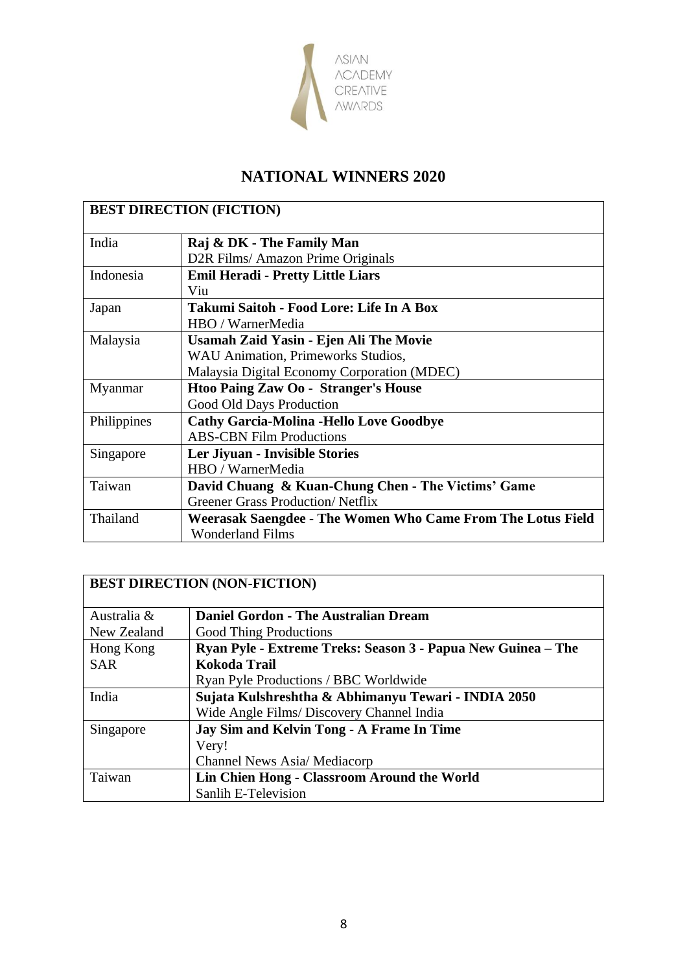

| <b>BEST DIRECTION (FICTION)</b> |                                                             |
|---------------------------------|-------------------------------------------------------------|
| India                           | Raj & DK - The Family Man                                   |
|                                 | D2R Films/ Amazon Prime Originals                           |
| Indonesia                       | <b>Emil Heradi - Pretty Little Liars</b>                    |
|                                 | Viu                                                         |
| Japan                           | Takumi Saitoh - Food Lore: Life In A Box                    |
|                                 | HBO / WarnerMedia                                           |
| Malaysia                        | Usamah Zaid Yasin - Ejen Ali The Movie                      |
|                                 | <b>WAU Animation, Primeworks Studios,</b>                   |
|                                 | Malaysia Digital Economy Corporation (MDEC)                 |
| Myanmar                         | Htoo Paing Zaw Oo - Stranger's House                        |
|                                 | Good Old Days Production                                    |
| Philippines                     | <b>Cathy Garcia-Molina -Hello Love Goodbye</b>              |
|                                 | <b>ABS-CBN Film Productions</b>                             |
| Singapore                       | Ler Jiyuan - Invisible Stories                              |
|                                 | HBO / WarnerMedia                                           |
| Taiwan                          | David Chuang & Kuan-Chung Chen - The Victims' Game          |
|                                 | <b>Greener Grass Production/Netflix</b>                     |
| Thailand                        | Weerasak Saengdee - The Women Who Came From The Lotus Field |
|                                 | <b>Wonderland Films</b>                                     |

| <b>BEST DIRECTION (NON-FICTION)</b> |                                                              |  |
|-------------------------------------|--------------------------------------------------------------|--|
| Australia &                         | <b>Daniel Gordon - The Australian Dream</b>                  |  |
| New Zealand                         | <b>Good Thing Productions</b>                                |  |
| Hong Kong                           | Ryan Pyle - Extreme Treks: Season 3 - Papua New Guinea - The |  |
| <b>SAR</b>                          | <b>Kokoda Trail</b>                                          |  |
|                                     | Ryan Pyle Productions / BBC Worldwide                        |  |
| India                               | Sujata Kulshreshtha & Abhimanyu Tewari - INDIA 2050          |  |
|                                     | Wide Angle Films/ Discovery Channel India                    |  |
| Singapore                           | <b>Jay Sim and Kelvin Tong - A Frame In Time</b>             |  |
|                                     | Very!                                                        |  |
|                                     | Channel News Asia/Mediacorp                                  |  |
| Taiwan                              | Lin Chien Hong - Classroom Around the World                  |  |
|                                     | Sanlih E-Television                                          |  |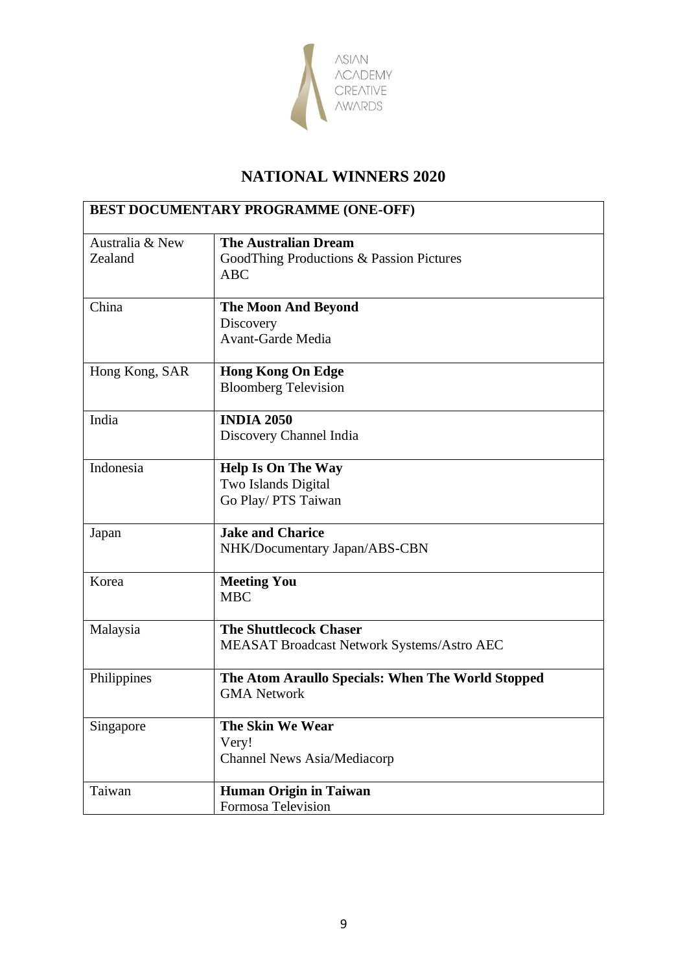

| <b>BEST DOCUMENTARY PROGRAMME (ONE-OFF)</b> |                                                   |
|---------------------------------------------|---------------------------------------------------|
| Australia & New                             | <b>The Australian Dream</b>                       |
| Zealand                                     | GoodThing Productions & Passion Pictures          |
|                                             | <b>ABC</b>                                        |
| China                                       |                                                   |
|                                             | <b>The Moon And Beyond</b><br>Discovery           |
|                                             | <b>Avant-Garde Media</b>                          |
|                                             |                                                   |
| Hong Kong, SAR                              | <b>Hong Kong On Edge</b>                          |
|                                             | <b>Bloomberg Television</b>                       |
| India                                       | <b>INDIA 2050</b>                                 |
|                                             | Discovery Channel India                           |
|                                             |                                                   |
| Indonesia                                   | <b>Help Is On The Way</b>                         |
|                                             | Two Islands Digital                               |
|                                             | Go Play/ PTS Taiwan                               |
| Japan                                       | <b>Jake and Charice</b>                           |
|                                             | NHK/Documentary Japan/ABS-CBN                     |
|                                             |                                                   |
| Korea                                       | <b>Meeting You</b>                                |
|                                             | <b>MBC</b>                                        |
| Malaysia                                    | <b>The Shuttlecock Chaser</b>                     |
|                                             | MEASAT Broadcast Network Systems/Astro AEC        |
|                                             |                                                   |
| Philippines                                 | The Atom Araullo Specials: When The World Stopped |
|                                             | <b>GMA Network</b>                                |
| Singapore                                   | The Skin We Wear                                  |
|                                             | Very!                                             |
|                                             | Channel News Asia/Mediacorp                       |
| Taiwan                                      | <b>Human Origin in Taiwan</b>                     |
|                                             | Formosa Television                                |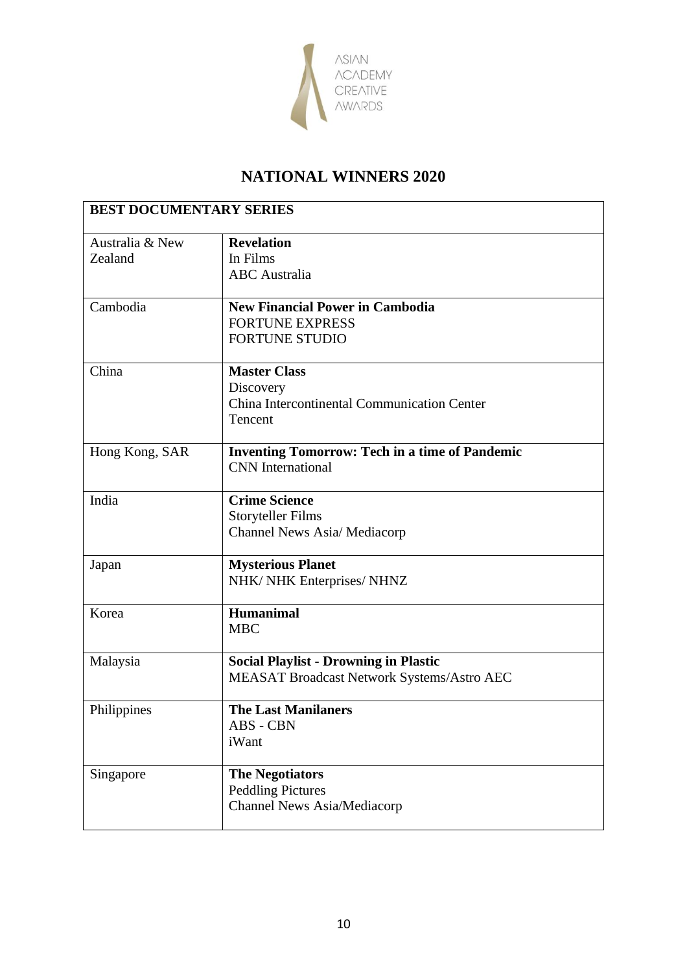

| <b>BEST DOCUMENTARY SERIES</b> |                                                       |
|--------------------------------|-------------------------------------------------------|
| Australia & New                | <b>Revelation</b>                                     |
| Zealand                        | In Films                                              |
|                                | <b>ABC</b> Australia                                  |
| Cambodia                       | <b>New Financial Power in Cambodia</b>                |
|                                | <b>FORTUNE EXPRESS</b>                                |
|                                | <b>FORTUNE STUDIO</b>                                 |
| China                          | <b>Master Class</b>                                   |
|                                | Discovery                                             |
|                                | China Intercontinental Communication Center           |
|                                | Tencent                                               |
| Hong Kong, SAR                 | <b>Inventing Tomorrow: Tech in a time of Pandemic</b> |
|                                | <b>CNN</b> International                              |
| India                          | <b>Crime Science</b>                                  |
|                                | <b>Storyteller Films</b>                              |
|                                | <b>Channel News Asia/ Mediacorp</b>                   |
| Japan                          | <b>Mysterious Planet</b>                              |
|                                | NHK/ NHK Enterprises/ NHNZ                            |
| Korea                          | <b>Humanimal</b>                                      |
|                                | <b>MBC</b>                                            |
| Malaysia                       | <b>Social Playlist - Drowning in Plastic</b>          |
|                                | MEASAT Broadcast Network Systems/Astro AEC            |
| Philippines                    | <b>The Last Manilaners</b>                            |
|                                | ABS - CBN                                             |
|                                | iWant                                                 |
| Singapore                      | <b>The Negotiators</b>                                |
|                                | <b>Peddling Pictures</b>                              |
|                                | Channel News Asia/Mediacorp                           |
|                                |                                                       |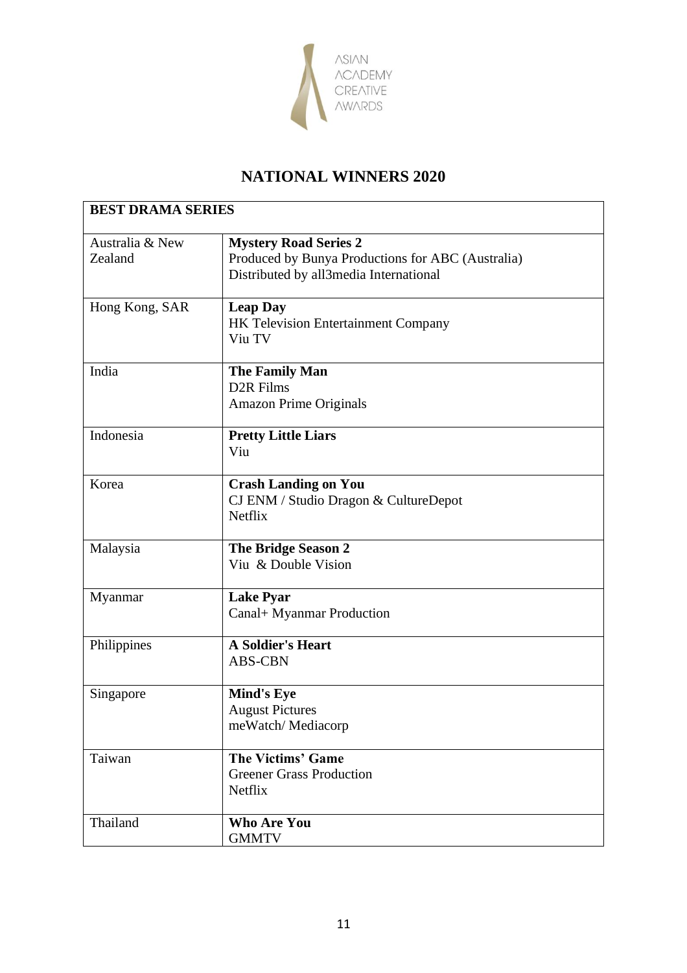

| <b>BEST DRAMA SERIES</b> |                                                   |
|--------------------------|---------------------------------------------------|
| Australia & New          | <b>Mystery Road Series 2</b>                      |
| Zealand                  | Produced by Bunya Productions for ABC (Australia) |
|                          | Distributed by all3media International            |
| Hong Kong, SAR           | <b>Leap Day</b>                                   |
|                          | HK Television Entertainment Company               |
|                          | Viu TV                                            |
| India                    | <b>The Family Man</b>                             |
|                          | D <sub>2</sub> R Films                            |
|                          | <b>Amazon Prime Originals</b>                     |
| Indonesia                | <b>Pretty Little Liars</b>                        |
|                          | Viu                                               |
| Korea                    | <b>Crash Landing on You</b>                       |
|                          | CJ ENM / Studio Dragon & CultureDepot             |
|                          | <b>Netflix</b>                                    |
| Malaysia                 | <b>The Bridge Season 2</b>                        |
|                          | Viu & Double Vision                               |
| Myanmar                  | <b>Lake Pyar</b>                                  |
|                          | Canal+ Myanmar Production                         |
| Philippines              | <b>A Soldier's Heart</b>                          |
|                          | <b>ABS-CBN</b>                                    |
| Singapore                | <b>Mind's Eye</b>                                 |
|                          | <b>August Pictures</b>                            |
|                          | meWatch/Mediacorp                                 |
| Taiwan                   | <b>The Victims' Game</b>                          |
|                          | <b>Greener Grass Production</b>                   |
|                          | Netflix                                           |
| Thailand                 | <b>Who Are You</b>                                |
|                          | <b>GMMTV</b>                                      |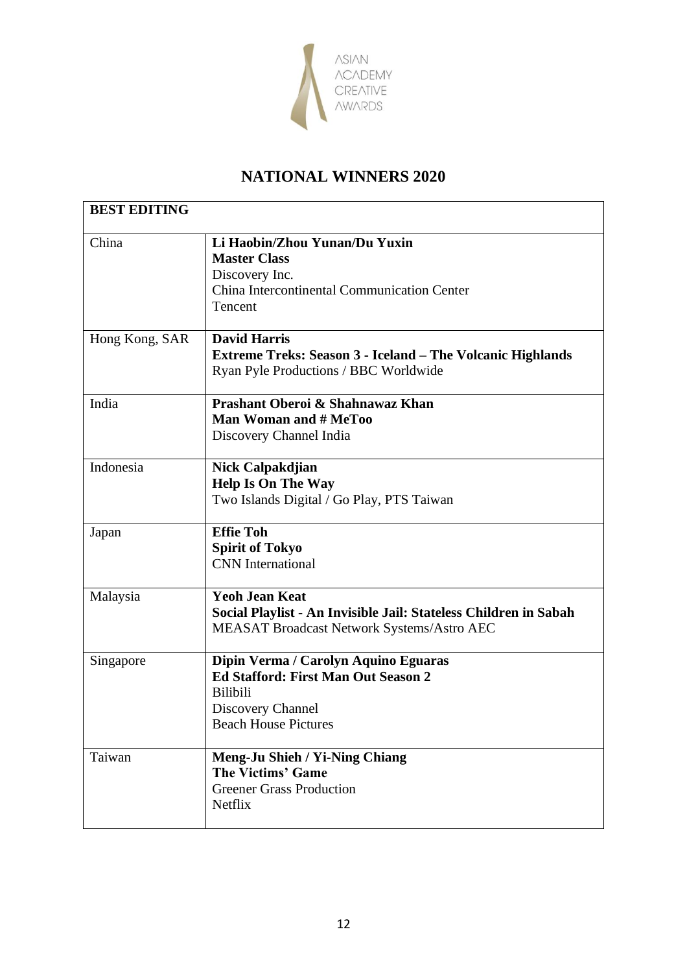

| <b>BEST EDITING</b> |                                                                                                                                                    |
|---------------------|----------------------------------------------------------------------------------------------------------------------------------------------------|
| China               | Li Haobin/Zhou Yunan/Du Yuxin<br><b>Master Class</b><br>Discovery Inc.<br>China Intercontinental Communication Center<br>Tencent                   |
| Hong Kong, SAR      | <b>David Harris</b><br>Extreme Treks: Season 3 - Iceland - The Volcanic Highlands<br>Ryan Pyle Productions / BBC Worldwide                         |
| India               | Prashant Oberoi & Shahnawaz Khan<br><b>Man Woman and # MeToo</b><br>Discovery Channel India                                                        |
| Indonesia           | Nick Calpakdjian<br><b>Help Is On The Way</b><br>Two Islands Digital / Go Play, PTS Taiwan                                                         |
| Japan               | <b>Effie Toh</b><br><b>Spirit of Tokyo</b><br><b>CNN</b> International                                                                             |
| Malaysia            | <b>Yeoh Jean Keat</b><br>Social Playlist - An Invisible Jail: Stateless Children in Sabah<br><b>MEASAT Broadcast Network Systems/Astro AEC</b>     |
| Singapore           | Dipin Verma / Carolyn Aquino Eguaras<br>Ed Stafford: First Man Out Season 2<br><b>Bilibili</b><br>Discovery Channel<br><b>Beach House Pictures</b> |
| Taiwan              | Meng-Ju Shieh / Yi-Ning Chiang<br><b>The Victims' Game</b><br><b>Greener Grass Production</b><br>Netflix                                           |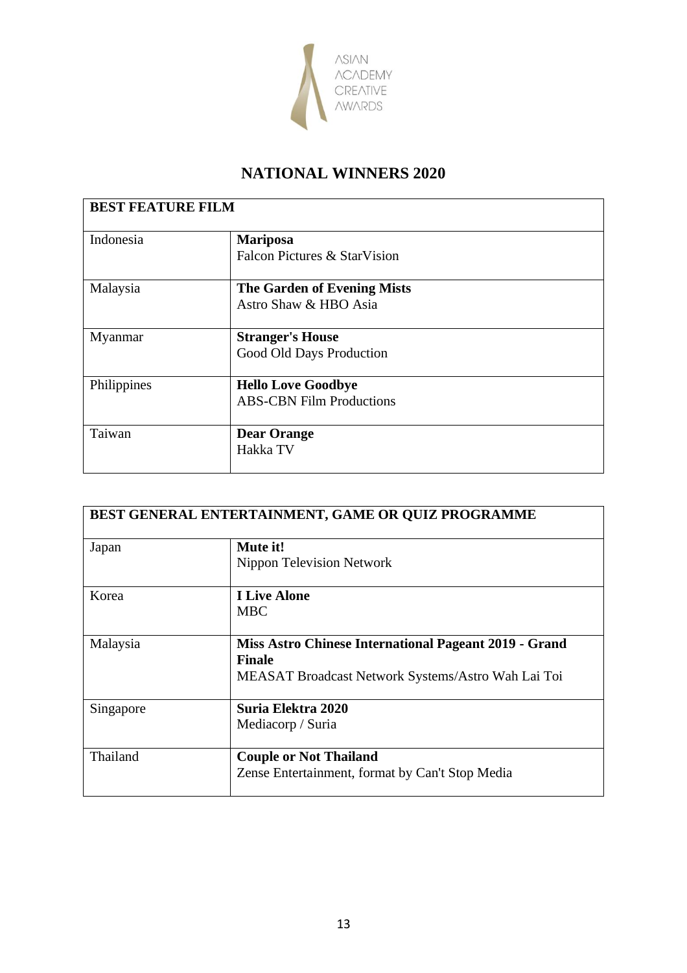

| <b>BEST FEATURE FILM</b> |                                    |
|--------------------------|------------------------------------|
| Indonesia                | <b>Mariposa</b>                    |
|                          | Falcon Pictures & StarVision       |
| Malaysia                 | <b>The Garden of Evening Mists</b> |
|                          | Astro Shaw & HBO Asia              |
| Myanmar                  | <b>Stranger's House</b>            |
|                          | Good Old Days Production           |
| Philippines              | <b>Hello Love Goodbye</b>          |
|                          | <b>ABS-CBN Film Productions</b>    |
| Taiwan                   | <b>Dear Orange</b>                 |
|                          | Hakka TV                           |

| BEST GENERAL ENTERTAINMENT, GAME OR QUIZ PROGRAMME |                                                       |
|----------------------------------------------------|-------------------------------------------------------|
| Japan                                              | Mute it!                                              |
|                                                    | Nippon Television Network                             |
| Korea                                              | <b>I Live Alone</b>                                   |
|                                                    | <b>MBC</b>                                            |
| Malaysia                                           | Miss Astro Chinese International Pageant 2019 - Grand |
|                                                    | <b>Finale</b>                                         |
|                                                    | MEASAT Broadcast Network Systems/Astro Wah Lai Toi    |
| Singapore                                          | Suria Elektra 2020                                    |
|                                                    | Mediacorp / Suria                                     |
| Thailand                                           | <b>Couple or Not Thailand</b>                         |
|                                                    | Zense Entertainment, format by Can't Stop Media       |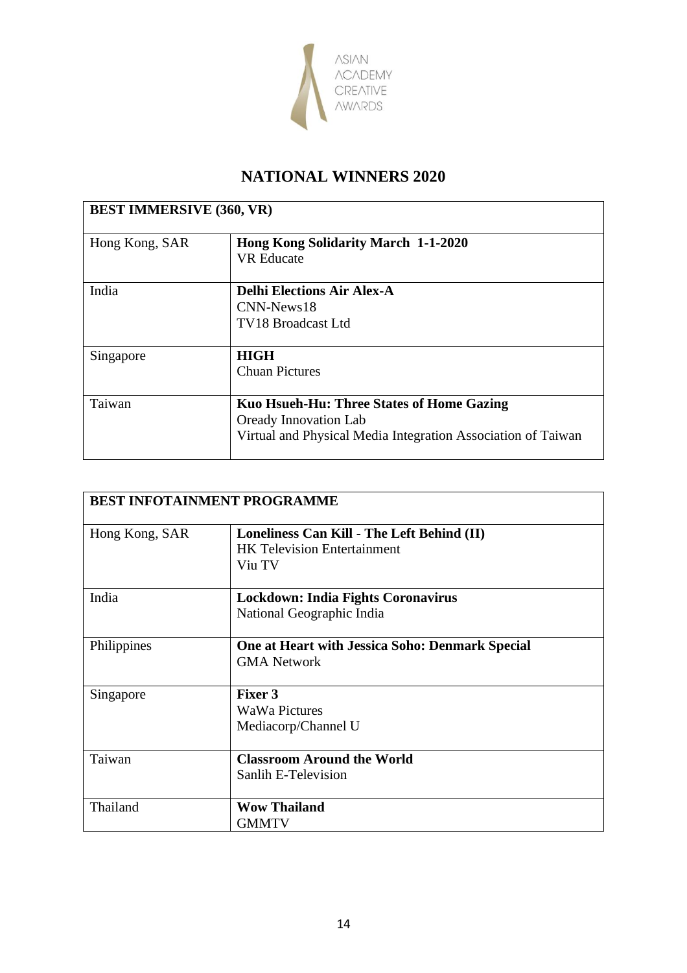

| <b>BEST IMMERSIVE (360, VR)</b> |                                                                                                                                           |
|---------------------------------|-------------------------------------------------------------------------------------------------------------------------------------------|
| Hong Kong, SAR                  | <b>Hong Kong Solidarity March 1-1-2020</b><br><b>VR</b> Educate                                                                           |
| India                           | <b>Delhi Elections Air Alex-A</b><br>CNN-News18<br><b>TV18 Broadcast Ltd</b>                                                              |
| Singapore                       | <b>HIGH</b><br><b>Chuan Pictures</b>                                                                                                      |
| Taiwan                          | Kuo Hsueh-Hu: Three States of Home Gazing<br><b>Oready Innovation Lab</b><br>Virtual and Physical Media Integration Association of Taiwan |

| <b>BEST INFOTAINMENT PROGRAMME</b> |                                                 |
|------------------------------------|-------------------------------------------------|
| Hong Kong, SAR                     | Loneliness Can Kill - The Left Behind (II)      |
|                                    | <b>HK Television Entertainment</b>              |
|                                    | Viu TV                                          |
| India                              | <b>Lockdown: India Fights Coronavirus</b>       |
|                                    | National Geographic India                       |
| Philippines                        | One at Heart with Jessica Soho: Denmark Special |
|                                    | <b>GMA</b> Network                              |
| Singapore                          | Fixer 3                                         |
|                                    | <b>WaWa Pictures</b>                            |
|                                    | Mediacorp/Channel U                             |
| Taiwan                             | <b>Classroom Around the World</b>               |
|                                    | Sanlih E-Television                             |
| Thailand                           | <b>Wow Thailand</b>                             |
|                                    | <b>GMMTV</b>                                    |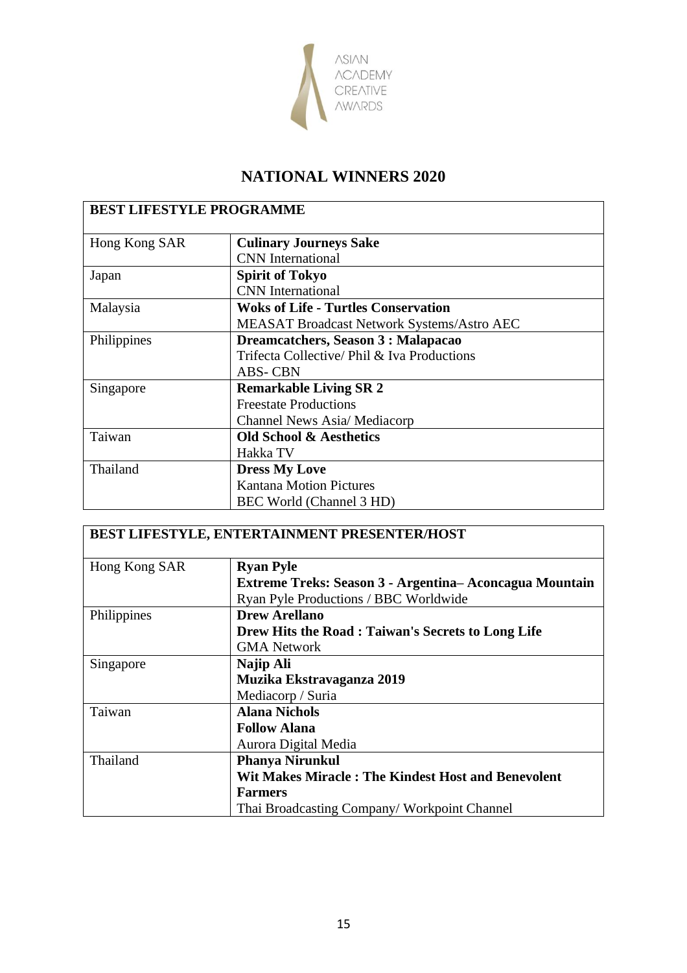

| <b>BEST LIFESTYLE PROGRAMME</b> |                                                   |
|---------------------------------|---------------------------------------------------|
| Hong Kong SAR                   | <b>Culinary Journeys Sake</b>                     |
|                                 | <b>CNN</b> International                          |
| Japan                           | <b>Spirit of Tokyo</b>                            |
|                                 | <b>CNN</b> International                          |
| Malaysia                        | <b>Woks of Life - Turtles Conservation</b>        |
|                                 | <b>MEASAT Broadcast Network Systems/Astro AEC</b> |
| Philippines                     | Dreamcatchers, Season 3 : Malapacao               |
|                                 | Trifecta Collective/ Phil & Iva Productions       |
|                                 | <b>ABS-CBN</b>                                    |
| Singapore                       | <b>Remarkable Living SR 2</b>                     |
|                                 | <b>Freestate Productions</b>                      |
|                                 | Channel News Asia/Mediacorp                       |
| Taiwan                          | <b>Old School &amp; Aesthetics</b>                |
|                                 | Hakka TV                                          |
| Thailand                        | <b>Dress My Love</b>                              |
|                                 | <b>Kantana Motion Pictures</b>                    |
|                                 | BEC World (Channel 3 HD)                          |

| <b>BEST LIFESTYLE, ENTERTAINMENT PRESENTER/HOST</b> |                                                           |
|-----------------------------------------------------|-----------------------------------------------------------|
| Hong Kong SAR                                       | <b>Ryan Pyle</b>                                          |
|                                                     | Extreme Treks: Season 3 - Argentina - Aconcagua Mountain  |
|                                                     | Ryan Pyle Productions / BBC Worldwide                     |
| Philippines                                         | <b>Drew Arellano</b>                                      |
|                                                     | Drew Hits the Road: Taiwan's Secrets to Long Life         |
|                                                     | <b>GMA Network</b>                                        |
| Singapore                                           | Najip Ali                                                 |
|                                                     | Muzika Ekstravaganza 2019                                 |
|                                                     | Mediacorp / Suria                                         |
| Taiwan                                              | <b>Alana Nichols</b>                                      |
|                                                     | <b>Follow Alana</b>                                       |
|                                                     | Aurora Digital Media                                      |
| Thailand                                            | <b>Phanya Nirunkul</b>                                    |
|                                                     | <b>Wit Makes Miracle: The Kindest Host and Benevolent</b> |
|                                                     | <b>Farmers</b>                                            |
|                                                     | Thai Broadcasting Company/Workpoint Channel               |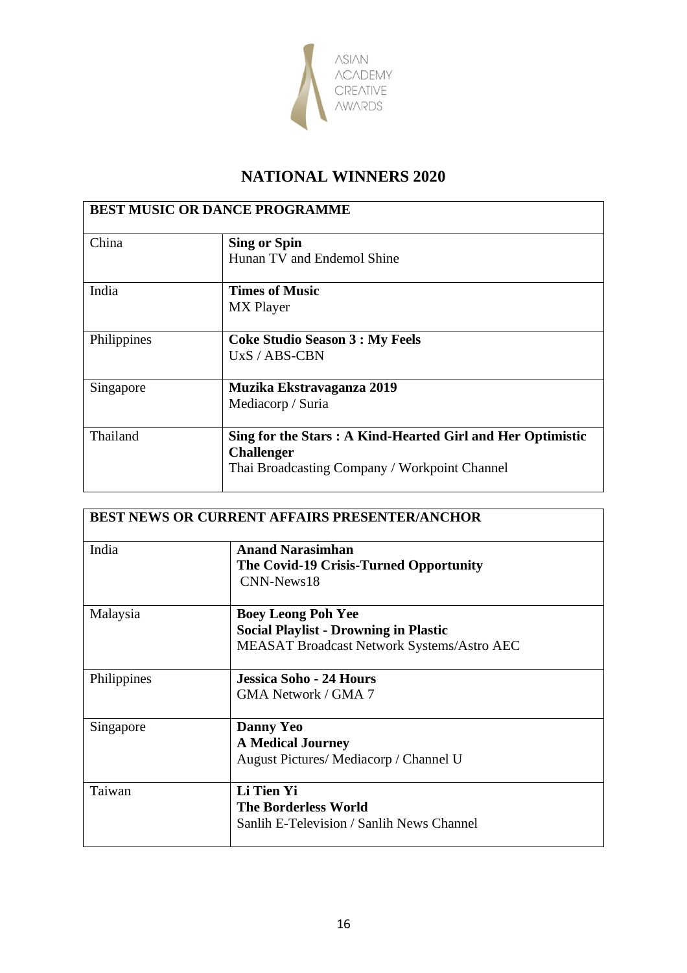

| <b>BEST MUSIC OR DANCE PROGRAMME</b> |                                                             |
|--------------------------------------|-------------------------------------------------------------|
| China                                | <b>Sing or Spin</b>                                         |
|                                      | Hunan TV and Endemol Shine                                  |
| India                                | <b>Times of Music</b>                                       |
|                                      | <b>MX</b> Player                                            |
| Philippines                          | <b>Coke Studio Season 3 : My Feels</b>                      |
|                                      | $UxS / ABS-CBN$                                             |
| Singapore                            | Muzika Ekstravaganza 2019                                   |
|                                      | Mediacorp / Suria                                           |
| Thailand                             | Sing for the Stars : A Kind-Hearted Girl and Her Optimistic |
|                                      | <b>Challenger</b>                                           |
|                                      | Thai Broadcasting Company / Workpoint Channel               |

| <b>BEST NEWS OR CURRENT AFFAIRS PRESENTER/ANCHOR</b> |                                                                                                                                |
|------------------------------------------------------|--------------------------------------------------------------------------------------------------------------------------------|
| India                                                | <b>Anand Narasimhan</b><br>The Covid-19 Crisis-Turned Opportunity<br>$CNN-News18$                                              |
| Malaysia                                             | <b>Boey Leong Poh Yee</b><br><b>Social Playlist - Drowning in Plastic</b><br><b>MEASAT Broadcast Network Systems/Astro AEC</b> |
| Philippines                                          | <b>Jessica Soho - 24 Hours</b><br>GMA Network / GMA 7                                                                          |
| Singapore                                            | <b>Danny Yeo</b><br><b>A Medical Journey</b><br>August Pictures/Mediacorp / Channel U                                          |
| Taiwan                                               | Li Tien Yi<br><b>The Borderless World</b><br>Sanlih E-Television / Sanlih News Channel                                         |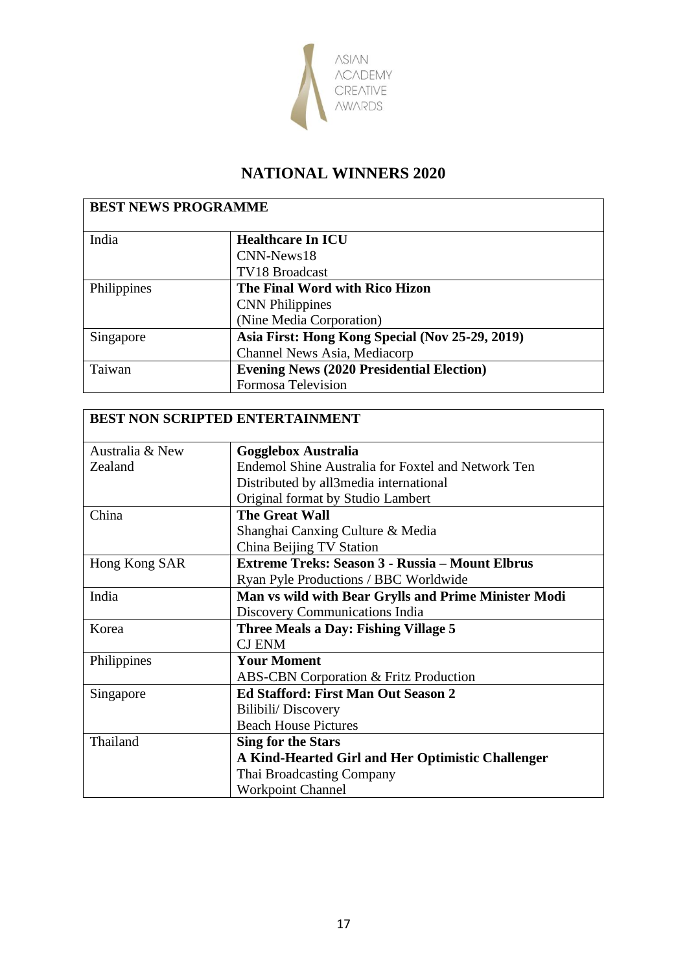

| <b>BEST NEWS PROGRAMME</b> |                                                  |
|----------------------------|--------------------------------------------------|
| India                      | <b>Healthcare In ICU</b>                         |
|                            | CNN-News18                                       |
|                            | TV18 Broadcast                                   |
| Philippines                | The Final Word with Rico Hizon                   |
|                            | <b>CNN</b> Philippines                           |
|                            | (Nine Media Corporation)                         |
| Singapore                  | Asia First: Hong Kong Special (Nov 25-29, 2019)  |
|                            | Channel News Asia, Mediacorp                     |
| Taiwan                     | <b>Evening News (2020 Presidential Election)</b> |
|                            | <b>Formosa Television</b>                        |

| <b>BEST NON SCRIPTED ENTERTAINMENT</b> |                                                           |  |
|----------------------------------------|-----------------------------------------------------------|--|
|                                        |                                                           |  |
| Australia & New                        | <b>Gogglebox Australia</b>                                |  |
| Zealand                                | <b>Endemol Shine Australia for Foxtel and Network Ten</b> |  |
|                                        | Distributed by all3media international                    |  |
|                                        | Original format by Studio Lambert                         |  |
| China                                  | <b>The Great Wall</b>                                     |  |
|                                        | Shanghai Canxing Culture & Media                          |  |
|                                        | China Beijing TV Station                                  |  |
| Hong Kong SAR                          | <b>Extreme Treks: Season 3 - Russia – Mount Elbrus</b>    |  |
|                                        | Ryan Pyle Productions / BBC Worldwide                     |  |
| India                                  | Man vs wild with Bear Grylls and Prime Minister Modi      |  |
|                                        | Discovery Communications India                            |  |
| Korea                                  | <b>Three Meals a Day: Fishing Village 5</b>               |  |
|                                        | <b>CJ ENM</b>                                             |  |
| Philippines                            | <b>Your Moment</b>                                        |  |
|                                        | <b>ABS-CBN Corporation &amp; Fritz Production</b>         |  |
| Singapore                              | <b>Ed Stafford: First Man Out Season 2</b>                |  |
|                                        | Bilibili/Discovery                                        |  |
|                                        | <b>Beach House Pictures</b>                               |  |
| Thailand                               | <b>Sing for the Stars</b>                                 |  |
|                                        | A Kind-Hearted Girl and Her Optimistic Challenger         |  |
|                                        | Thai Broadcasting Company                                 |  |
|                                        | <b>Workpoint Channel</b>                                  |  |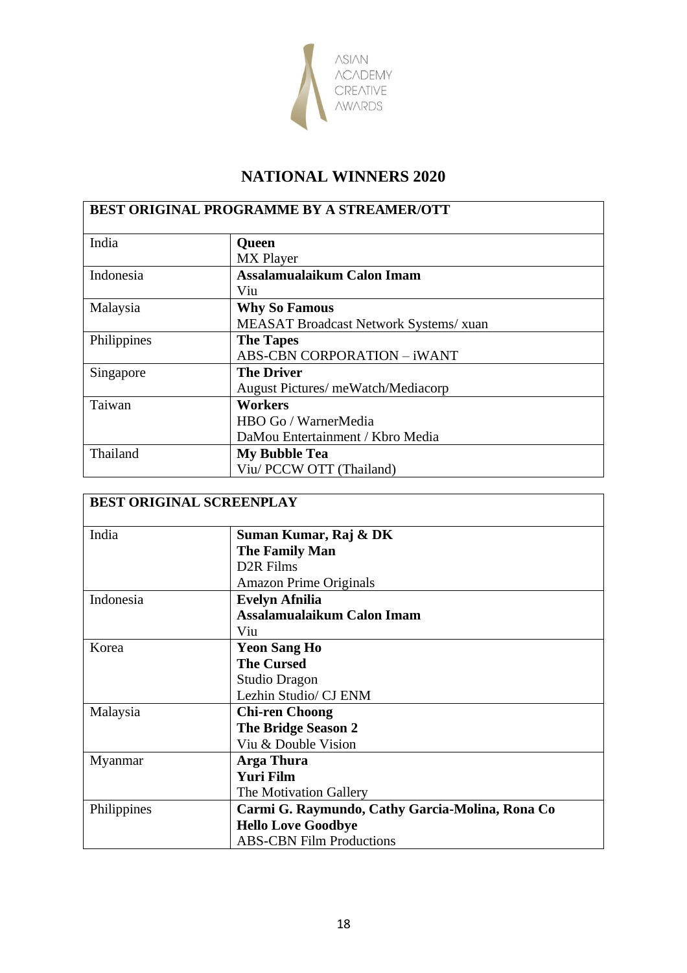

| <b>BEST ORIGINAL PROGRAMME BY A STREAMER/OTT</b> |                                        |
|--------------------------------------------------|----------------------------------------|
| India                                            | Queen                                  |
|                                                  | <b>MX</b> Player                       |
| Indonesia                                        | Assalamualaikum Calon Imam             |
|                                                  | Viu                                    |
| Malaysia                                         | <b>Why So Famous</b>                   |
|                                                  | MEASAT Broadcast Network Systems/ xuan |
| Philippines                                      | <b>The Tapes</b>                       |
|                                                  | <b>ABS-CBN CORPORATION - iWANT</b>     |
| Singapore                                        | <b>The Driver</b>                      |
|                                                  | August Pictures/ meWatch/Mediacorp     |
| Taiwan                                           | <b>Workers</b>                         |
|                                                  | HBO Go / WarnerMedia                   |
|                                                  | DaMou Entertainment / Kbro Media       |
| Thailand                                         | <b>My Bubble Tea</b>                   |
|                                                  | Viu/ PCCW OTT (Thailand)               |

|             | <b>BEST ORIGINAL SCREENPLAY</b>                 |
|-------------|-------------------------------------------------|
| India       | Suman Kumar, Raj & DK                           |
|             | <b>The Family Man</b>                           |
|             | D <sub>2</sub> R Films                          |
|             | <b>Amazon Prime Originals</b>                   |
| Indonesia   | <b>Evelyn Afnilia</b>                           |
|             | Assalamualaikum Calon Imam                      |
|             | Viu                                             |
| Korea       | <b>Yeon Sang Ho</b>                             |
|             | <b>The Cursed</b>                               |
|             | Studio Dragon                                   |
|             | Lezhin Studio/ CJ ENM                           |
| Malaysia    | <b>Chi-ren Choong</b>                           |
|             | <b>The Bridge Season 2</b>                      |
|             | Viu & Double Vision                             |
| Myanmar     | Arga Thura                                      |
|             | <b>Yuri Film</b>                                |
|             | The Motivation Gallery                          |
| Philippines | Carmi G. Raymundo, Cathy Garcia-Molina, Rona Co |
|             | <b>Hello Love Goodbye</b>                       |
|             | <b>ABS-CBN Film Productions</b>                 |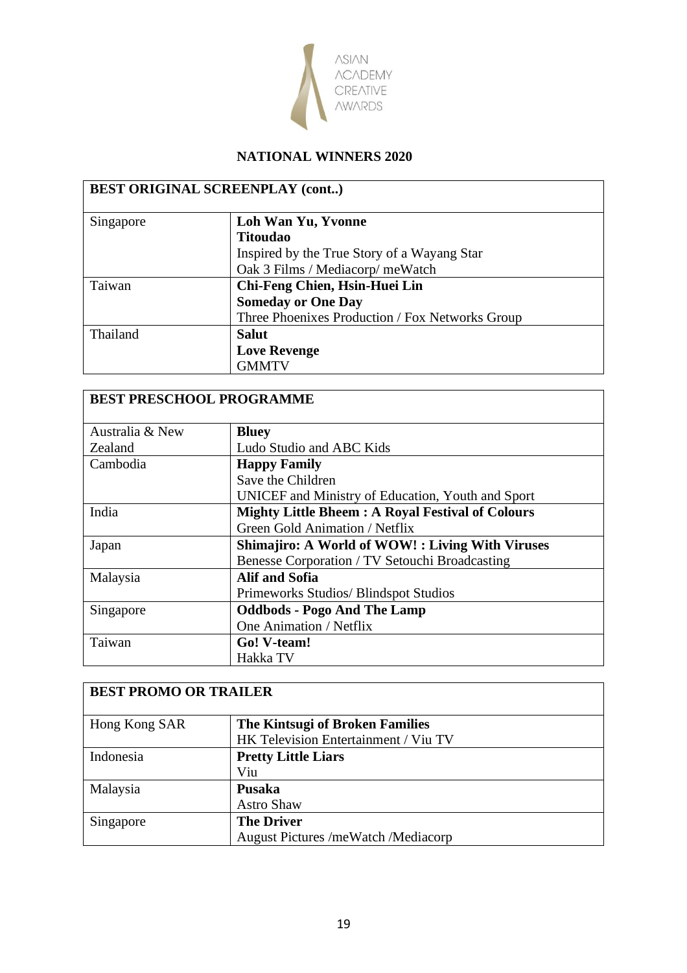

|           | <b>BEST ORIGINAL SCREENPLAY (cont)</b>          |
|-----------|-------------------------------------------------|
| Singapore | Loh Wan Yu, Yvonne                              |
|           | <b>Titoudao</b>                                 |
|           | Inspired by the True Story of a Wayang Star     |
|           | Oak 3 Films / Mediacorp/meWatch                 |
| Taiwan    | Chi-Feng Chien, Hsin-Huei Lin                   |
|           | <b>Someday or One Day</b>                       |
|           | Three Phoenixes Production / Fox Networks Group |
| Thailand  | <b>Salut</b>                                    |
|           | <b>Love Revenge</b>                             |
|           | <b>GMMTV</b>                                    |

| <b>BEST PRESCHOOL PROGRAMME</b> |                                                         |
|---------------------------------|---------------------------------------------------------|
| Australia & New                 | <b>Bluey</b>                                            |
| Zealand                         | Ludo Studio and ABC Kids                                |
| Cambodia                        | <b>Happy Family</b>                                     |
|                                 | Save the Children                                       |
|                                 | UNICEF and Ministry of Education, Youth and Sport       |
| India                           | <b>Mighty Little Bheem: A Royal Festival of Colours</b> |
|                                 | Green Gold Animation / Netflix                          |
| Japan                           | <b>Shimajiro: A World of WOW!: Living With Viruses</b>  |
|                                 | Benesse Corporation / TV Setouchi Broadcasting          |
| Malaysia                        | Alif and Sofia                                          |
|                                 | Primeworks Studios/Blindspot Studios                    |
| Singapore                       | <b>Oddbods - Pogo And The Lamp</b>                      |
|                                 | One Animation / Netflix                                 |
| Taiwan                          | Go! V-team!                                             |
|                                 | Hakka TV                                                |

| <b>BEST PROMO OR TRAILER</b> |                                      |
|------------------------------|--------------------------------------|
| Hong Kong SAR                | The Kintsugi of Broken Families      |
|                              | HK Television Entertainment / Viu TV |
| Indonesia                    | <b>Pretty Little Liars</b>           |
|                              | Viu                                  |
| Malaysia                     | <b>Pusaka</b>                        |
|                              | <b>Astro Shaw</b>                    |
| Singapore                    | <b>The Driver</b>                    |
|                              | August Pictures /meWatch /Mediacorp  |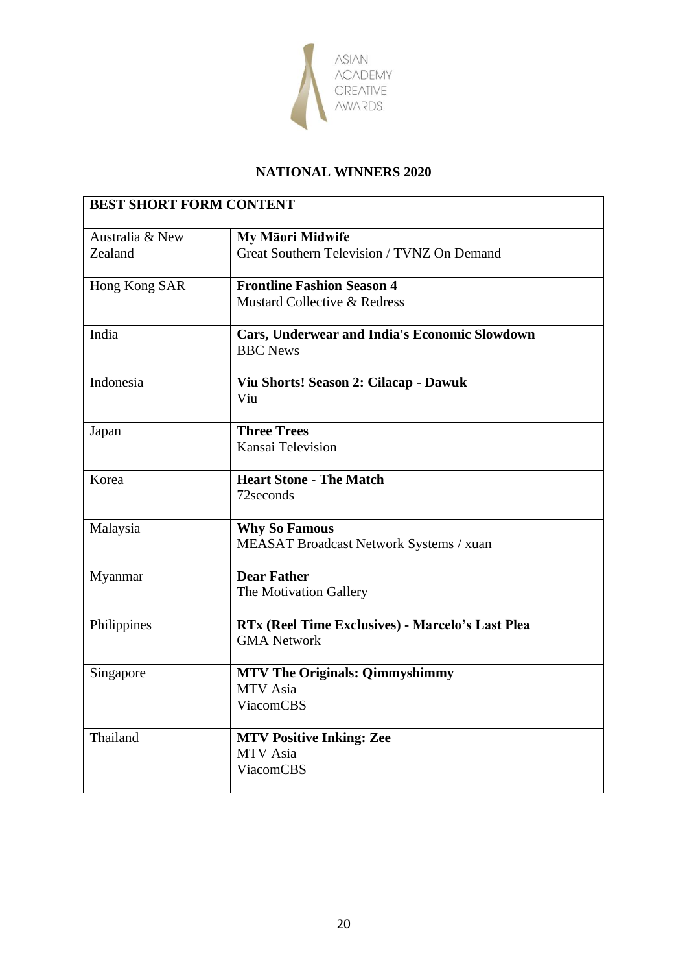

| Australia & New | My Māori Midwife                                                             |
|-----------------|------------------------------------------------------------------------------|
| Zealand         | Great Southern Television / TVNZ On Demand                                   |
| Hong Kong SAR   | <b>Frontline Fashion Season 4</b><br>Mustard Collective & Redress            |
| India           | <b>Cars, Underwear and India's Economic Slowdown</b><br><b>BBC</b> News      |
| Indonesia       | Viu Shorts! Season 2: Cilacap - Dawuk<br>Viu                                 |
| Japan           | <b>Three Trees</b><br>Kansai Television                                      |
| Korea           | <b>Heart Stone - The Match</b><br>72 seconds                                 |
| Malaysia        | <b>Why So Famous</b><br>MEASAT Broadcast Network Systems / xuan              |
| Myanmar         | <b>Dear Father</b><br>The Motivation Gallery                                 |
| Philippines     | RTx (Reel Time Exclusives) - Marcelo's Last Plea<br><b>GMA Network</b>       |
| Singapore       | <b>MTV The Originals: Qimmyshimmy</b><br><b>MTV</b> Asia<br><b>ViacomCBS</b> |
| Thailand        | <b>MTV Positive Inking: Zee</b><br><b>MTV</b> Asia<br><b>ViacomCBS</b>       |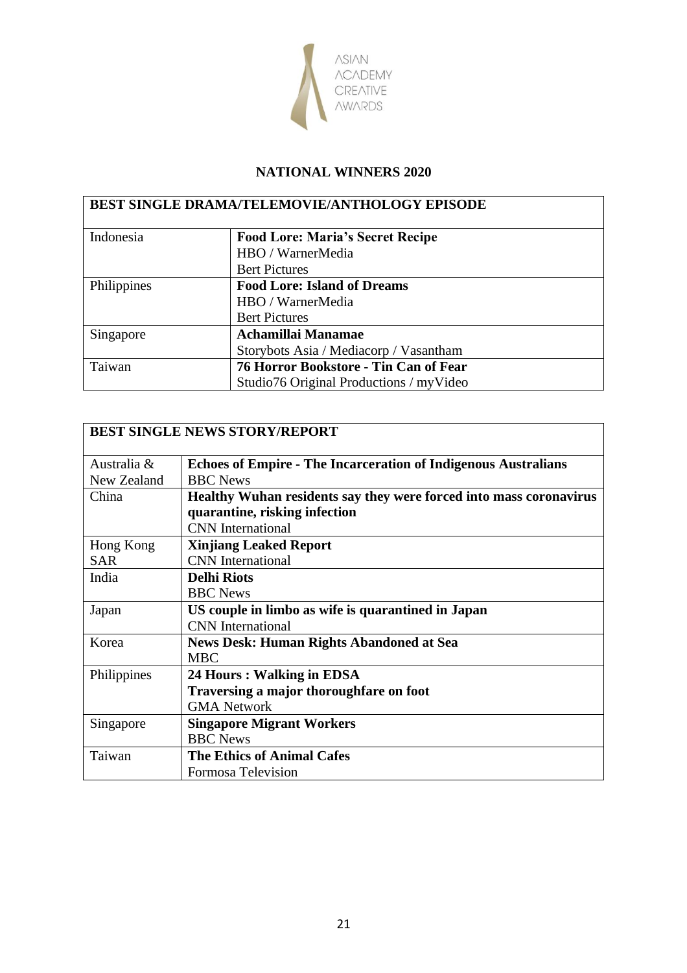

| <b>BEST SINGLE DRAMA/TELEMOVIE/ANTHOLOGY EPISODE</b> |                                          |
|------------------------------------------------------|------------------------------------------|
| Indonesia                                            | <b>Food Lore: Maria's Secret Recipe</b>  |
|                                                      | HBO / WarnerMedia                        |
|                                                      | <b>Bert Pictures</b>                     |
| Philippines                                          | <b>Food Lore: Island of Dreams</b>       |
|                                                      | HBO / WarnerMedia                        |
|                                                      | <b>Bert Pictures</b>                     |
| Singapore                                            | Achamillai Manamae                       |
|                                                      | Storybots Asia / Mediacorp / Vasantham   |
| Taiwan                                               | 76 Horror Bookstore - Tin Can of Fear    |
|                                                      | Studio 76 Original Productions / myVideo |

| <b>BEST SINGLE NEWS STORY/REPORT</b> |                                                                       |
|--------------------------------------|-----------------------------------------------------------------------|
| Australia &                          | <b>Echoes of Empire - The Incarceration of Indigenous Australians</b> |
| New Zealand                          | <b>BBC</b> News                                                       |
| China                                | Healthy Wuhan residents say they were forced into mass coronavirus    |
|                                      | quarantine, risking infection                                         |
|                                      | <b>CNN</b> International                                              |
| Hong Kong                            | <b>Xinjiang Leaked Report</b>                                         |
| <b>SAR</b>                           | <b>CNN</b> International                                              |
| India                                | <b>Delhi Riots</b>                                                    |
|                                      | <b>BBC</b> News                                                       |
| Japan                                | US couple in limbo as wife is quarantined in Japan                    |
|                                      | <b>CNN</b> International                                              |
| Korea                                | <b>News Desk: Human Rights Abandoned at Sea</b>                       |
|                                      | <b>MBC</b>                                                            |
| Philippines                          | 24 Hours: Walking in EDSA                                             |
|                                      | Traversing a major thoroughfare on foot                               |
|                                      | <b>GMA Network</b>                                                    |
| Singapore                            | <b>Singapore Migrant Workers</b>                                      |
|                                      | <b>BBC</b> News                                                       |
| Taiwan                               | <b>The Ethics of Animal Cafes</b>                                     |
|                                      | Formosa Television                                                    |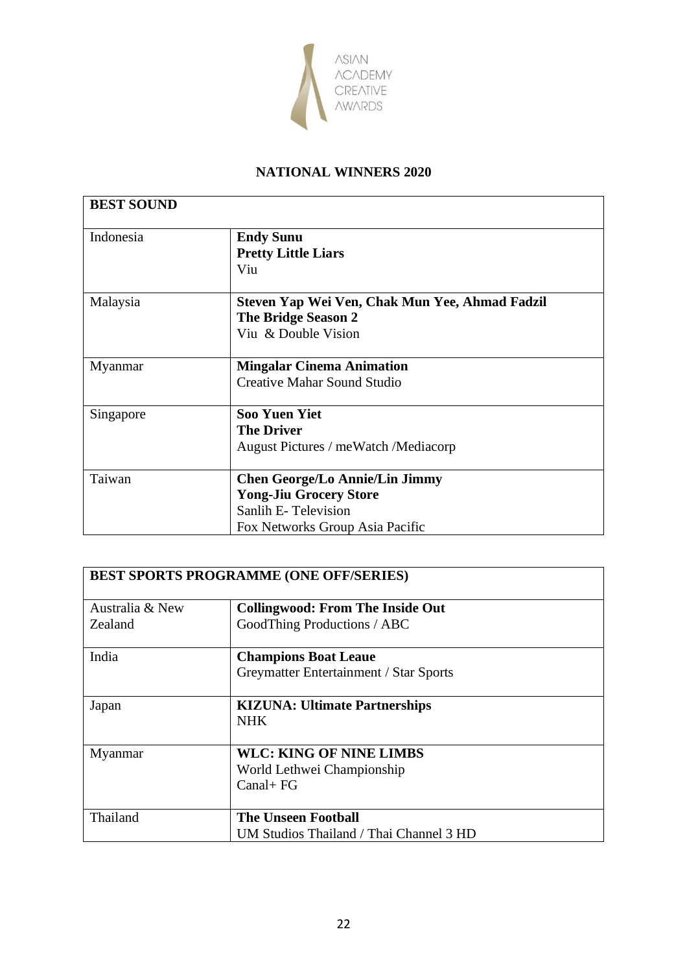

| <b>BEST SOUND</b> |                                                |  |
|-------------------|------------------------------------------------|--|
| Indonesia         | <b>Endy Sunu</b>                               |  |
|                   | <b>Pretty Little Liars</b>                     |  |
|                   | Viu                                            |  |
| Malaysia          | Steven Yap Wei Ven, Chak Mun Yee, Ahmad Fadzil |  |
|                   | <b>The Bridge Season 2</b>                     |  |
|                   | Viu & Double Vision                            |  |
| Myanmar           | <b>Mingalar Cinema Animation</b>               |  |
|                   | <b>Creative Mahar Sound Studio</b>             |  |
| Singapore         | <b>Soo Yuen Yiet</b>                           |  |
|                   | <b>The Driver</b>                              |  |
|                   | August Pictures / meWatch / Mediacorp          |  |
|                   |                                                |  |
| Taiwan            | <b>Chen George/Lo Annie/Lin Jimmy</b>          |  |
|                   | <b>Yong-Jiu Grocery Store</b>                  |  |
|                   | Sanlih E-Television                            |  |
|                   | Fox Networks Group Asia Pacific                |  |

| <b>BEST SPORTS PROGRAMME (ONE OFF/SERIES)</b> |                                         |  |
|-----------------------------------------------|-----------------------------------------|--|
| Australia & New                               | <b>Collingwood: From The Inside Out</b> |  |
| Zealand                                       | GoodThing Productions / ABC             |  |
| India                                         | <b>Champions Boat Leaue</b>             |  |
|                                               | Greymatter Entertainment / Star Sports  |  |
| Japan                                         | <b>KIZUNA: Ultimate Partnerships</b>    |  |
|                                               | <b>NHK</b>                              |  |
| Myanmar                                       | <b>WLC: KING OF NINE LIMBS</b>          |  |
|                                               | World Lethwei Championship              |  |
|                                               | $Canal + FG$                            |  |
| Thailand                                      | <b>The Unseen Football</b>              |  |
|                                               | UM Studios Thailand / Thai Channel 3 HD |  |